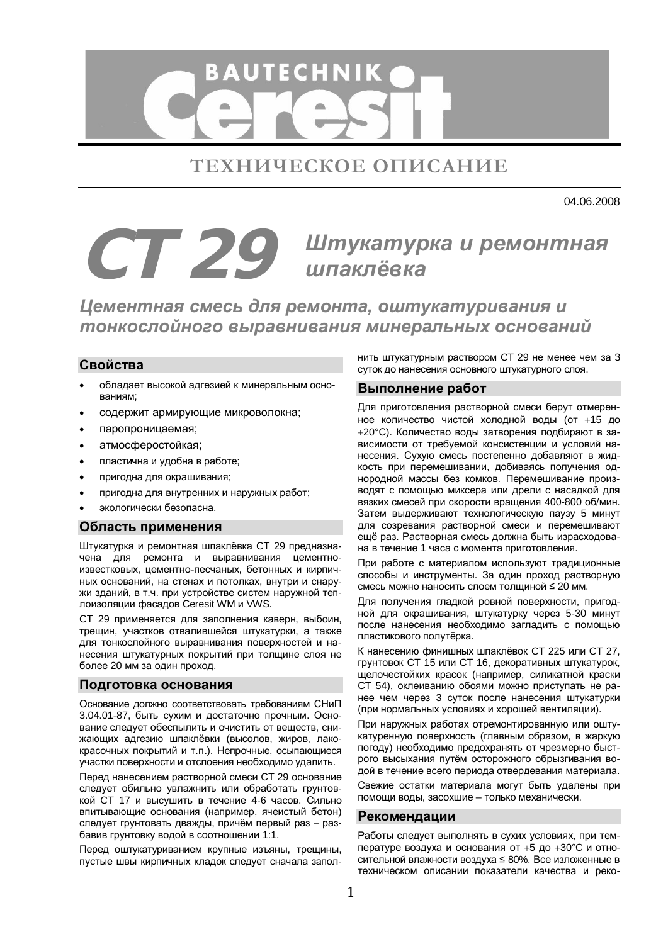

ТЕХНИЧЕСКОЕ ОПИСАНИЕ

04.06.2008

# $CT$  29 Штукатурка и ремонтная **шпаклёвка**

**Цементная смесь для ремонта, оштукатуривания и** тонкослойного выравнивания минеральных оснований

## **Свойства**

- обладает высокой адгезией к минеральным основаниям;
- содержит армирующие микроволокна;
- паропроницаемая;
- атмосферостойкая;
- пластична и удобна в работе;
- пригодна для окрашивания;
- пригодна для внутренних и наружных работ;
- экологически безопасна.

#### Область применения

Штукатурка и ремонтная шпаклёвка СТ 29 предназначена для ремонта и выравнивания цементноизвестковых, цементно-песчаных, бетонных и кирпичных оснований, на стенах и потолках, внутри и снаружи зданий, в т.ч. при устройстве систем наружной теплоизоляции фасадов Ceresit WM и VWS.

СТ 29 применяется для заполнения каверн, выбоин, трещин, участков отвалившейся штукатурки, а также для тонкослойного выравнивания поверхностей и нанесения штукатурных покрытий при толщине слоя не более 20 мм за один проход.

## Подготовка основания

Основание должно соответствовать требованиям СНиП 3.04.01-87, быть сухим и достаточно прочным. Основание следует обеспылить и очистить от вешеств, снижающих адгезию шпаклёвки (высолов, жиров, лакокрасочных покрытий и т.п.). Непрочные, осыпающиеся участки поверхности и отслоения необходимо удалить.

Перед нанесением растворной смеси СТ 29 основание следует обильно увлажнить или обработать грунтовкой СТ 17 и высушить в течение 4-6 часов. Сильно впитывающие основания (например, ячеистый бетон) следует грунтовать дважды, причём первый раз - разбавив грунтовку водой в соотношении 1:1.

Перед оштукатуриванием крупные изъяны, трещины, пустые швы кирпичных кладок следует сначала заполнить штукатурным раствором СТ 29 не менее чем за 3 суток до нанесения основного штукатурного слоя.

#### **Выполнение работ**

Для приготовления растворной смеси берут отмеренное количество чистой холодной воды (от +15 до +20°С). Количество воды затворения подбирают в зависимости от требуемой консистенции и условий нанесения. Сухую смесь постепенно добавляют в жидкость при перемешивании, добиваясь получения однородной массы без комков. Перемешивание производят с помощью миксера или дрели с насадкой для вязких смесей при скорости вращения 400-800 об/мин. Затем выдерживают технологическую паузу 5 минут для созревания растворной смеси и перемешивают ещё раз. Растворная смесь должна быть израсходована в течение 1 часа с момента приготовления.

При работе с материалом используют традиционные способы и инструменты. За один проход растворную смесь можно наносить слоем толщиной ≤ 20 мм.

Для получения гладкой ровной поверхности, пригодной для окрашивания, штукатурку через 5-30 минут после нанесения необходимо загладить с помощью пластикового полутёрка.

К нанесению финишных шпаклёвок СТ 225 или СТ 27, грунтовок СТ 15 или СТ 16, декоративных штукатурок, щелочестойких красок (например, силикатной краски СТ 54), оклеиванию обоями можно приступать не ранее чем через 3 суток после нанесения штукатурки (при нормальных условиях и хорошей вентиляции).

При наружных работах отремонтированную или оштукатуренную поверхность (главным образом, в жаркую погоду) необходимо предохранять от чрезмерно быстрого высыхания путём осторожного обрызгивания водой в течение всего периода отвердевания материала.

Свежие остатки материала могут быть удалены при помощи воды, засохшие – только механически.

#### Рекомендации

Работы следует выполнять в сухих условиях, при температуре воздуха и основания от +5 до +30°С и относительной влажности воздуха ≤ 80%. Все изложенные в техническом описании показатели качества и реко